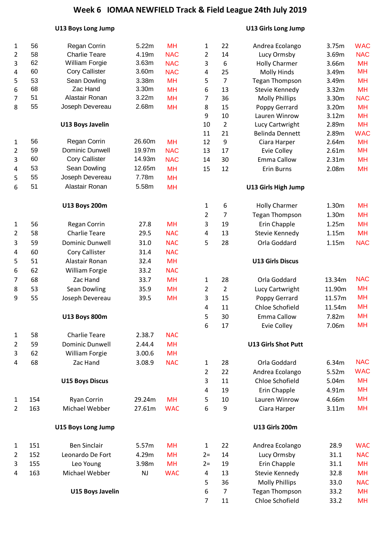#### **U13 Boys Long Jump U13 Girls Long Jump**

| $\mathbf{1}$ | 56  | Regan Corrin              | 5.22m  | <b>MH</b>               | $\mathbf{1}$     | 22             | Andrea Ecolango                   | 3.75m          | <b>WAC</b>             |
|--------------|-----|---------------------------|--------|-------------------------|------------------|----------------|-----------------------------------|----------------|------------------------|
| 2            | 58  | <b>Charlie Teare</b>      | 4.19m  | <b>NAC</b>              | $\overline{2}$   | 14             | Lucy Ormsby                       | 3.69m          | <b>NAC</b>             |
| 3            | 62  | William Forgie            | 3.63m  | <b>NAC</b>              | 3                | 6              | <b>Holly Charmer</b>              | 3.66m          | <b>MH</b>              |
| 4            | 60  | <b>Cory Callister</b>     | 3.60m  | <b>NAC</b>              | 4                | 25             | <b>Molly Hinds</b>                | 3.49m          | <b>MH</b>              |
| 5            | 53  | Sean Dowling              | 3.38m  | <b>MH</b>               | 5                | $\overline{7}$ | <b>Tegan Thompson</b>             | 3.49m          | <b>MH</b>              |
| 6            | 68  | Zac Hand                  | 3.30m  | <b>MH</b>               | 6                | 13             | Stevie Kennedy                    | 3.32m          | <b>MH</b>              |
| 7            | 51  | Alastair Ronan            | 3.22m  | <b>MH</b>               | 7                | 36             | <b>Molly Phillips</b>             | 3.30m          | <b>NAC</b>             |
| 8            | 55  | Joseph Devereau           | 2.68m  | <b>MH</b>               | 8                | 15             | Poppy Gerrard                     | 3.20m          | <b>MH</b>              |
|              |     |                           |        |                         | $\boldsymbol{9}$ | 10             | Lauren Winrow                     | 3.12m          | <b>MH</b>              |
|              |     | <b>U13 Boys Javelin</b>   |        |                         | 10               | $\overline{2}$ | Lucy Cartwright                   | 2.89m          | <b>MH</b>              |
|              | 56  | Regan Corrin              | 26.60m |                         | 11               | 21             | <b>Belinda Dennett</b>            | 2.89m          | <b>WAC</b>             |
| $\mathbf{1}$ | 59  | Dominic Dunwell           | 19.97m | <b>MH</b><br><b>NAC</b> | 12<br>13         | 9<br>17        | Ciara Harper                      | 2.64m          | <b>MH</b><br><b>MH</b> |
| 2<br>3       | 60  | <b>Cory Callister</b>     | 14.93m | <b>NAC</b>              | 14               | 30             | <b>Evie Colley</b><br>Emma Callow | 2.61m          | <b>MH</b>              |
|              | 53  | Sean Dowling              | 12.65m | <b>MH</b>               | 15               | 12             | <b>Erin Burns</b>                 | 2.31m<br>2.08m | <b>MH</b>              |
| 4<br>5       | 55  | Joseph Devereau           | 7.78m  | <b>MH</b>               |                  |                |                                   |                |                        |
| 6            | 51  | Alastair Ronan            | 5.58m  | <b>MH</b>               |                  |                | U13 Girls High Jump               |                |                        |
|              |     |                           |        |                         |                  |                |                                   |                |                        |
|              |     | <b>U13 Boys 200m</b>      |        |                         | $\mathbf{1}$     | 6              | <b>Holly Charmer</b>              | 1.30m          | <b>MH</b>              |
|              |     |                           |        |                         | $\overline{2}$   | 7              | <b>Tegan Thompson</b>             | 1.30m          | <b>MH</b>              |
| 1            | 56  | Regan Corrin              | 27.8   | <b>MH</b>               | 3                | 19             | Erin Chapple                      | 1.25m          | <b>MH</b>              |
| 2            | 58  | <b>Charlie Teare</b>      | 29.5   | <b>NAC</b>              | $\overline{4}$   | 13             | Stevie Kennedy                    | 1.15m          | <b>MH</b>              |
| 3            | 59  | <b>Dominic Dunwell</b>    | 31.0   | <b>NAC</b>              | 5                | 28             | Orla Goddard                      | 1.15m          | <b>NAC</b>             |
| 4            | 60  | Cory Callister            | 31.4   | <b>NAC</b>              |                  |                |                                   |                |                        |
| 5            | 51  | Alastair Ronan            | 32.4   | <b>MH</b>               |                  |                | <b>U13 Girls Discus</b>           |                |                        |
| 6            | 62  | William Forgie            | 33.2   | <b>NAC</b>              |                  |                |                                   |                |                        |
| 7            | 68  | Zac Hand                  | 33.7   | <b>MH</b>               | $\mathbf{1}$     | 28             | Orla Goddard                      | 13.34m         | <b>NAC</b>             |
| 8            | 53  | Sean Dowling              | 35.9   | <b>MH</b>               | 2                | $\overline{2}$ | Lucy Cartwright                   | 11.90m         | <b>MH</b>              |
| 9            | 55  | Joseph Devereau           | 39.5   | <b>MH</b>               | 3                | 15             | Poppy Gerrard                     | 11.57m         | <b>MH</b>              |
|              |     |                           |        |                         | 4                | 11             | Chloe Schofield                   | 11.54m         | <b>MH</b>              |
|              |     | <b>U13 Boys 800m</b>      |        |                         | 5                | 30             | <b>Emma Callow</b>                | 7.82m          | <b>MH</b>              |
|              |     |                           |        |                         | 6                | 17             | <b>Evie Colley</b>                | 7.06m          | <b>MH</b>              |
| $\mathbf{1}$ | 58  | <b>Charlie Teare</b>      | 2.38.7 | <b>NAC</b>              |                  |                |                                   |                |                        |
| 2            | 59  | <b>Dominic Dunwell</b>    | 2.44.4 | <b>MH</b>               |                  |                | U13 Girls Shot Putt               |                |                        |
| 3            | 62  | William Forgie            | 3.00.6 | <b>MH</b>               |                  |                |                                   |                |                        |
| 4            | 68  | Zac Hand                  | 3.08.9 | <b>NAC</b>              | $\mathbf 1$      | 28             | Orla Goddard                      | 6.34m          | <b>NAC</b>             |
|              |     |                           |        |                         | 2                | 22             | Andrea Ecolango                   | 5.52m          | <b>WAC</b>             |
|              |     | <b>U15 Boys Discus</b>    |        |                         | 3                | 11             | Chloe Schofield                   | 5.04m          | <b>MH</b>              |
|              |     |                           |        |                         | $\sqrt{4}$       | 19             | Erin Chapple                      | 4.91m          | <b>MH</b>              |
| 1            | 154 | Ryan Corrin               | 29.24m | <b>MH</b>               | 5                | 10             | Lauren Winrow                     | 4.66m          | <b>MH</b>              |
| 2            | 163 | Michael Webber            | 27.61m | <b>WAC</b>              | 6                | 9              | Ciara Harper                      | 3.11m          | <b>MH</b>              |
|              |     | <b>U15 Boys Long Jump</b> |        |                         |                  |                | <b>U13 Girls 200m</b>             |                |                        |
| 1            | 151 | <b>Ben Sinclair</b>       | 5.57m  | <b>MH</b>               | $\mathbf{1}$     | 22             | Andrea Ecolango                   | 28.9           | <b>WAC</b>             |
| 2            | 152 | Leonardo De Fort          | 4.29m  | <b>MH</b>               | $2 =$            | 14             | Lucy Ormsby                       | 31.1           | <b>NAC</b>             |
| 3            | 155 | Leo Young                 | 3.98m  | <b>MH</b>               | $2 =$            | 19             | Erin Chapple                      | 31.1           | <b>MH</b>              |
| 4            | 163 | Michael Webber            | NJ     | <b>WAC</b>              | 4                | 13             | Stevie Kennedy                    | 32.8           | <b>MH</b>              |
|              |     |                           |        |                         | 5                | 36             | <b>Molly Phillips</b>             | 33.0           | <b>NAC</b>             |
|              |     | <b>U15 Boys Javelin</b>   |        |                         | 6                | $\overline{7}$ | <b>Tegan Thompson</b>             | 33.2           | <b>MH</b>              |
|              |     |                           |        |                         | $\overline{7}$   | 11             | Chloe Schofield                   | 33.2           | <b>MH</b>              |
|              |     |                           |        |                         |                  |                |                                   |                |                        |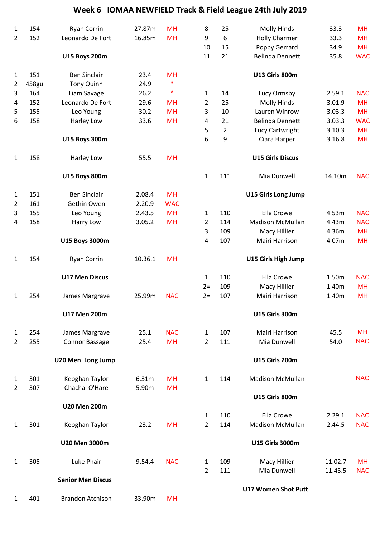| 1              | 154   | <b>Ryan Corrin</b>       | 27.87m  | <b>MH</b>  | 8              | 25             | <b>Molly Hinds</b>         | 33.3    | MH         |
|----------------|-------|--------------------------|---------|------------|----------------|----------------|----------------------------|---------|------------|
| $\overline{2}$ | 152   | Leonardo De Fort         | 16.85m  | <b>MH</b>  | 9              | 6              | <b>Holly Charmer</b>       | 33.3    | <b>MH</b>  |
|                |       |                          |         |            | 10             | 15             | Poppy Gerrard              | 34.9    | <b>MH</b>  |
|                |       | <b>U15 Boys 200m</b>     |         |            | 11             | 21             | <b>Belinda Dennett</b>     | 35.8    | <b>WAC</b> |
| $\mathbf{1}$   | 151   | <b>Ben Sinclair</b>      | 23.4    | <b>MH</b>  |                |                | <b>U13 Girls 800m</b>      |         |            |
| $\overline{2}$ | 458gu | <b>Tony Quinn</b>        | 24.9    | $\ast$     |                |                |                            |         |            |
| 3              | 164   | Liam Savage              | 26.2    | $\ast$     | 1              | 14             | Lucy Ormsby                | 2.59.1  | <b>NAC</b> |
| 4              | 152   | Leonardo De Fort         | 29.6    | <b>MH</b>  | 2              | 25             | <b>Molly Hinds</b>         | 3.01.9  | <b>MH</b>  |
| 5              | 155   | Leo Young                | 30.2    | <b>MH</b>  | 3              | 10             | Lauren Winrow              | 3.03.3  | <b>MH</b>  |
| 6              | 158   | Harley Low               | 33.6    | <b>MH</b>  | 4              | 21             | <b>Belinda Dennett</b>     | 3.03.3  | <b>WAC</b> |
|                |       |                          |         |            | 5              | $\overline{2}$ | Lucy Cartwright            | 3.10.3  | <b>MH</b>  |
|                |       | <b>U15 Boys 300m</b>     |         |            | 6              | 9              | Ciara Harper               | 3.16.8  | <b>MH</b>  |
| $\mathbf{1}$   | 158   | Harley Low               | 55.5    | <b>MH</b>  |                |                | <b>U15 Girls Discus</b>    |         |            |
|                |       | <b>U15 Boys 800m</b>     |         |            | $\mathbf{1}$   | 111            | Mia Dunwell                | 14.10m  | <b>NAC</b> |
| $\mathbf{1}$   | 151   | <b>Ben Sinclair</b>      | 2.08.4  | <b>MH</b>  |                |                | <b>U15 Girls Long Jump</b> |         |            |
| $\overline{2}$ | 161   | Gethin Owen              | 2.20.9  | <b>WAC</b> |                |                |                            |         |            |
| 3              | 155   | Leo Young                | 2.43.5  | <b>MH</b>  | $\mathbf{1}$   | 110            | Ella Crowe                 | 4.53m   | <b>NAC</b> |
| $\overline{a}$ | 158   | Harry Low                | 3.05.2  | <b>MH</b>  | $\overline{2}$ | 114            | <b>Madison McMullan</b>    | 4.43m   | <b>NAC</b> |
|                |       |                          |         |            | 3              | 109            | Macy Hillier               | 4.36m   | <b>MH</b>  |
|                |       | U15 Boys 3000m           |         |            | 4              | 107            | Mairi Harrison             | 4.07m   | <b>MH</b>  |
| $\mathbf{1}$   | 154   | <b>Ryan Corrin</b>       | 10.36.1 | <b>MH</b>  |                |                | <b>U15 Girls High Jump</b> |         |            |
|                |       | <b>U17 Men Discus</b>    |         |            | 1              | 110            | Ella Crowe                 | 1.50m   | <b>NAC</b> |
|                |       |                          |         |            | $2 =$          | 109            | Macy Hillier               | 1.40m   | <b>MH</b>  |
| 1              | 254   | James Margrave           | 25.99m  | <b>NAC</b> | $2=$           | 107            | Mairi Harrison             | 1.40m   | <b>MH</b>  |
|                |       | <b>U17 Men 200m</b>      |         |            |                |                | <b>U15 Girls 300m</b>      |         |            |
| $\mathbf{1}$   | 254   | James Margrave           | 25.1    | <b>NAC</b> | $\mathbf{1}$   | 107            | Mairi Harrison             | 45.5    | MH         |
| $\overline{2}$ | 255   | <b>Connor Bassage</b>    | 25.4    | <b>MH</b>  | $\overline{2}$ | 111            | Mia Dunwell                | 54.0    | <b>NAC</b> |
|                |       | U20 Men Long Jump        |         |            |                |                | <b>U15 Girls 200m</b>      |         |            |
| $\mathbf{1}$   | 301   | Keoghan Taylor           | 6.31m   | <b>MH</b>  | $\mathbf{1}$   | 114            | <b>Madison McMullan</b>    |         | <b>NAC</b> |
| $\overline{2}$ | 307   | Chachai O'Hare           | 5.90m   | <b>MH</b>  |                |                |                            |         |            |
|                |       | <b>U20 Men 200m</b>      |         |            |                |                | <b>U15 Girls 800m</b>      |         |            |
|                |       |                          |         |            | 1              | 110            | Ella Crowe                 | 2.29.1  | <b>NAC</b> |
| $\mathbf{1}$   | 301   | Keoghan Taylor           | 23.2    | <b>MH</b>  | $\overline{2}$ | 114            | <b>Madison McMullan</b>    | 2.44.5  | <b>NAC</b> |
|                |       | <b>U20 Men 3000m</b>     |         |            |                |                | <b>U15 Girls 3000m</b>     |         |            |
| 1              | 305   | Luke Phair               | 9.54.4  | <b>NAC</b> | 1              | 109            | Macy Hillier               | 11.02.7 | MH         |
|                |       |                          |         |            | $\overline{2}$ | 111            | Mia Dunwell                | 11.45.5 | <b>NAC</b> |
|                |       | <b>Senior Men Discus</b> |         |            |                |                |                            |         |            |
|                |       |                          |         |            |                |                | <b>U17 Women Shot Putt</b> |         |            |
| $\mathbf{1}$   | 401   | <b>Brandon Atchison</b>  | 33.90m  | <b>MH</b>  |                |                |                            |         |            |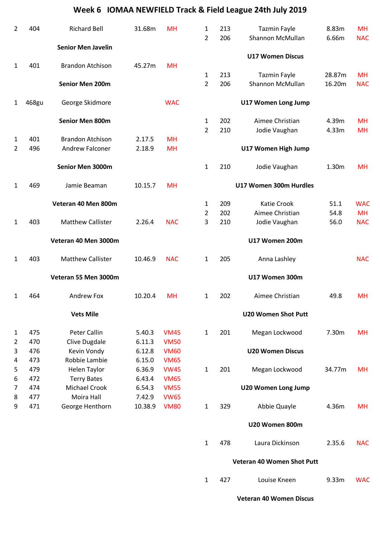| 2              | 404   | <b>Richard Bell</b>       | 31.68m  | <b>MH</b>   | 1                   | 213 | <b>Tazmin Fayle</b>                     | 8.83m  | <b>MH</b>  |
|----------------|-------|---------------------------|---------|-------------|---------------------|-----|-----------------------------------------|--------|------------|
|                |       |                           |         |             | $\overline{2}$      | 206 | Shannon McMullan                        | 6.66m  | <b>NAC</b> |
|                |       | <b>Senior Men Javelin</b> |         |             |                     |     |                                         |        |            |
|                |       |                           |         |             |                     |     | <b>U17 Women Discus</b>                 |        |            |
| 1              | 401   | <b>Brandon Atchison</b>   | 45.27m  | <b>MH</b>   |                     | 213 |                                         | 28.87m | <b>MH</b>  |
|                |       | <b>Senior Men 200m</b>    |         |             | 1<br>$\overline{2}$ | 206 | <b>Tazmin Fayle</b><br>Shannon McMullan | 16.20m | <b>NAC</b> |
|                |       |                           |         |             |                     |     |                                         |        |            |
| 1              | 468gu | George Skidmore           |         | <b>WAC</b>  |                     |     | U17 Women Long Jump                     |        |            |
|                |       | <b>Senior Men 800m</b>    |         |             | 1                   | 202 | Aimee Christian                         | 4.39m  | <b>MH</b>  |
|                |       |                           |         |             | $\overline{2}$      | 210 | Jodie Vaughan                           | 4.33m  | <b>MH</b>  |
| 1              | 401   | <b>Brandon Atchison</b>   | 2.17.5  | <b>MH</b>   |                     |     |                                         |        |            |
| $\overline{2}$ | 496   | <b>Andrew Falconer</b>    | 2.18.9  | <b>MH</b>   |                     |     | U17 Women High Jump                     |        |            |
|                |       | Senior Men 3000m          |         |             | 1                   | 210 | Jodie Vaughan                           | 1.30m  | <b>MH</b>  |
| 1              | 469   | Jamie Beaman              | 10.15.7 | <b>MH</b>   |                     |     | U17 Women 300m Hurdles                  |        |            |
|                |       | Veteran 40 Men 800m       |         |             | $\mathbf{1}$        | 209 | <b>Katie Crook</b>                      | 51.1   | <b>WAC</b> |
|                |       |                           |         |             | $\overline{2}$      | 202 | Aimee Christian                         | 54.8   | <b>MH</b>  |
| 1              | 403   | <b>Matthew Callister</b>  | 2.26.4  | <b>NAC</b>  | 3                   | 210 | Jodie Vaughan                           | 56.0   | <b>NAC</b> |
|                |       | Veteran 40 Men 3000m      |         |             |                     |     | U17 Women 200m                          |        |            |
| 1              | 403   | <b>Matthew Callister</b>  | 10.46.9 | <b>NAC</b>  | 1                   | 205 | Anna Lashley                            |        | <b>NAC</b> |
|                |       |                           |         |             |                     |     |                                         |        |            |
|                |       | Veteran 55 Men 3000m      |         |             |                     |     | U17 Women 300m                          |        |            |
| 1              | 464   | Andrew Fox                | 10.20.4 | <b>MH</b>   | 1                   | 202 | Aimee Christian                         | 49.8   | <b>MH</b>  |
|                |       | <b>Vets Mile</b>          |         |             |                     |     | <b>U20 Women Shot Putt</b>              |        |            |
| $\mathbf{1}$   | 475   | Peter Callin              | 5.40.3  | <b>VM45</b> | $\mathbf{1}$        | 201 | Megan Lockwood                          | 7.30m  | <b>MH</b>  |
| 2              | 470   | Clive Dugdale             | 6.11.3  | <b>VM50</b> |                     |     |                                         |        |            |
| 3              | 476   | Kevin Vondy               | 6.12.8  | <b>VM60</b> |                     |     | <b>U20 Women Discus</b>                 |        |            |
| 4              | 473   | Robbie Lambie             | 6.15.0  | <b>VM65</b> |                     |     |                                         |        |            |
| 5              | 479   | <b>Helen Taylor</b>       | 6.36.9  | <b>VW45</b> | $\mathbf{1}$        | 201 | Megan Lockwood                          | 34.77m | <b>MH</b>  |
| 6              | 472   | <b>Terry Bates</b>        | 6.43.4  | <b>VM65</b> |                     |     |                                         |        |            |
| 7              | 474   | Michael Crook             | 6.54.3  | <b>VM55</b> |                     |     | <b>U20 Women Long Jump</b>              |        |            |
| 8              | 477   | Moira Hall                | 7.42.9  | <b>VW65</b> |                     |     |                                         |        |            |
| 9              | 471   | George Henthorn           | 10.38.9 | <b>VM80</b> | $\mathbf{1}$        | 329 | Abbie Quayle                            | 4.36m  | <b>MH</b>  |
|                |       |                           |         |             |                     |     | U20 Women 800m                          |        |            |
|                |       |                           |         |             | $\mathbf{1}$        | 478 | Laura Dickinson                         | 2.35.6 | <b>NAC</b> |
|                |       |                           |         |             |                     |     | Veteran 40 Women Shot Putt              |        |            |
|                |       |                           |         |             |                     |     |                                         |        |            |
|                |       |                           |         |             | 1                   | 427 | Louise Kneen                            | 9.33m  | <b>WAC</b> |

**Veteran 40 Women Discus**